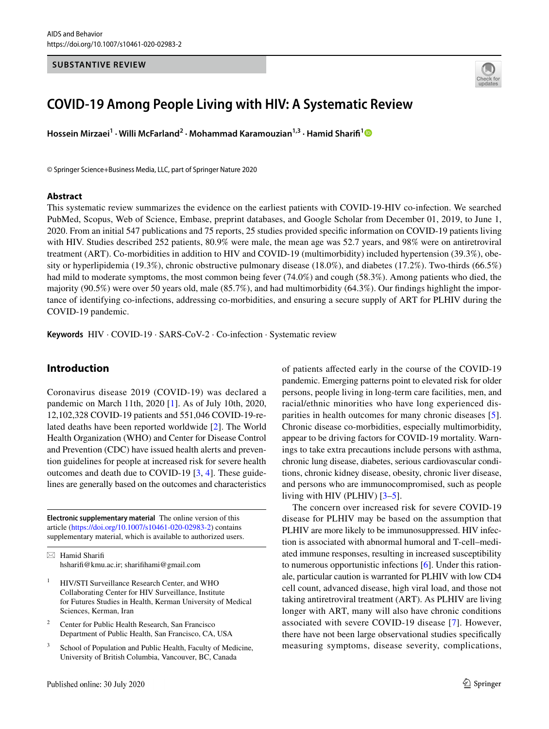#### **SUBSTANTIVE REVIEW**



# **COVID‑19 Among People Living with HIV: A Systematic Review**

**Hossein Mirzaei1 · Willi McFarland2 · Mohammad Karamouzian1,3 · Hamid Sharif[1](http://orcid.org/0000-0002-9008-7618)**

© Springer Science+Business Media, LLC, part of Springer Nature 2020

#### **Abstract**

This systematic review summarizes the evidence on the earliest patients with COVID-19-HIV co-infection. We searched PubMed, Scopus, Web of Science, Embase, preprint databases, and Google Scholar from December 01, 2019, to June 1, 2020. From an initial 547 publications and 75 reports, 25 studies provided specifc information on COVID-19 patients living with HIV. Studies described 252 patients, 80.9% were male, the mean age was 52.7 years, and 98% were on antiretroviral treatment (ART). Co-morbidities in addition to HIV and COVID-19 (multimorbidity) included hypertension (39.3%), obesity or hyperlipidemia (19.3%), chronic obstructive pulmonary disease (18.0%), and diabetes (17.2%). Two-thirds (66.5%) had mild to moderate symptoms, the most common being fever (74.0%) and cough (58.3%). Among patients who died, the majority (90.5%) were over 50 years old, male (85.7%), and had multimorbidity (64.3%). Our fndings highlight the importance of identifying co-infections, addressing co-morbidities, and ensuring a secure supply of ART for PLHIV during the COVID-19 pandemic.

**Keywords** HIV · COVID-19 · SARS-CoV-2 · Co-infection · Systematic review

### **Introduction**

Coronavirus disease 2019 (COVID-19) was declared a pandemic on March 11th, 2020 [[1\]](#page-6-0). As of July 10th, 2020, 12,102,328 COVID-19 patients and 551,046 COVID-19-related deaths have been reported worldwide [[2\]](#page-6-1). The World Health Organization (WHO) and Center for Disease Control and Prevention (CDC) have issued health alerts and prevention guidelines for people at increased risk for severe health outcomes and death due to COVID-19 [[3,](#page-6-2) [4](#page-6-3)]. These guidelines are generally based on the outcomes and characteristics

**Electronic supplementary material** The online version of this article [\(https://doi.org/10.1007/s10461-020-02983-2\)](https://doi.org/10.1007/s10461-020-02983-2) contains supplementary material, which is available to authorized users.

 $\boxtimes$  Hamid Sharifi hsharif@kmu.ac.ir; sharifhami@gmail.com

- <sup>1</sup> HIV/STI Surveillance Research Center, and WHO Collaborating Center for HIV Surveillance, Institute for Futures Studies in Health, Kerman University of Medical Sciences, Kerman, Iran
- <sup>2</sup> Center for Public Health Research, San Francisco Department of Public Health, San Francisco, CA, USA
- School of Population and Public Health, Faculty of Medicine, University of British Columbia, Vancouver, BC, Canada

Published online: 30 July 2020

of patients afected early in the course of the COVID-19 pandemic. Emerging patterns point to elevated risk for older persons, people living in long-term care facilities, men, and racial/ethnic minorities who have long experienced disparities in health outcomes for many chronic diseases [\[5](#page-6-4)]. Chronic disease co-morbidities, especially multimorbidity, appear to be driving factors for COVID-19 mortality. Warnings to take extra precautions include persons with asthma, chronic lung disease, diabetes, serious cardiovascular conditions, chronic kidney disease, obesity, chronic liver disease, and persons who are immunocompromised, such as people living with HIV (PLHIV) [\[3](#page-6-2)[–5](#page-6-4)].

The concern over increased risk for severe COVID-19 disease for PLHIV may be based on the assumption that PLHIV are more likely to be immunosuppressed. HIV infection is associated with abnormal humoral and T-cell–mediated immune responses, resulting in increased susceptibility to numerous opportunistic infections [[6\]](#page-6-5). Under this rationale, particular caution is warranted for PLHIV with low CD4 cell count, advanced disease, high viral load, and those not taking antiretroviral treatment (ART). As PLHIV are living longer with ART, many will also have chronic conditions associated with severe COVID-19 disease [\[7](#page-6-6)]. However, there have not been large observational studies specifcally measuring symptoms, disease severity, complications,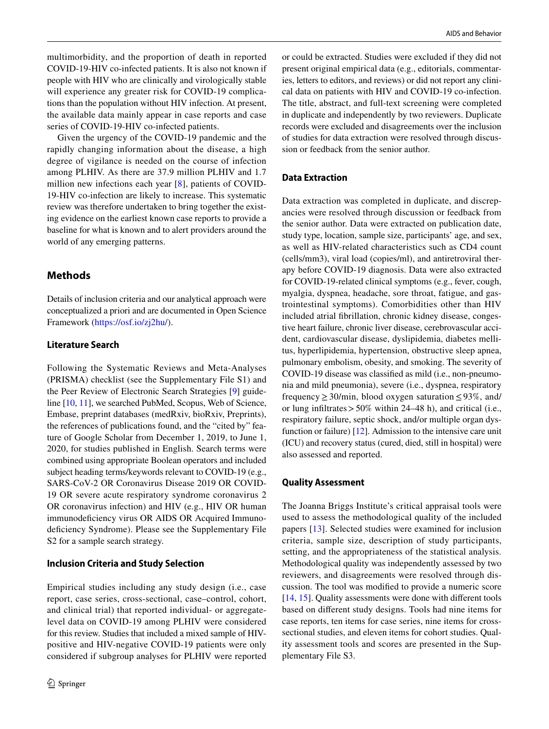multimorbidity, and the proportion of death in reported COVID-19-HIV co-infected patients. It is also not known if people with HIV who are clinically and virologically stable will experience any greater risk for COVID-19 complications than the population without HIV infection. At present, the available data mainly appear in case reports and case series of COVID-19-HIV co-infected patients.

Given the urgency of the COVID-19 pandemic and the rapidly changing information about the disease, a high degree of vigilance is needed on the course of infection among PLHIV. As there are 37.9 million PLHIV and 1.7 million new infections each year [[8\]](#page-6-7), patients of COVID-19-HIV co-infection are likely to increase. This systematic review was therefore undertaken to bring together the existing evidence on the earliest known case reports to provide a baseline for what is known and to alert providers around the world of any emerging patterns.

## **Methods**

Details of inclusion criteria and our analytical approach were conceptualized a priori and are documented in Open Science Framework ([https://osf.io/zj2hu/\)](https://osf.io/zj2hu/).

#### **Literature Search**

Following the Systematic Reviews and Meta-Analyses (PRISMA) checklist (see the Supplementary File S1) and the Peer Review of Electronic Search Strategies [\[9](#page-6-8)] guideline [\[10](#page-6-9), [11\]](#page-6-10), we searched PubMed, Scopus, Web of Science, Embase, preprint databases (medRxiv, bioRxiv, Preprints), the references of publications found, and the "cited by" feature of Google Scholar from December 1, 2019, to June 1, 2020, for studies published in English. Search terms were combined using appropriate Boolean operators and included subject heading terms/keywords relevant to COVID-19 (e.g., SARS-CoV-2 OR Coronavirus Disease 2019 OR COVID-19 OR severe acute respiratory syndrome coronavirus 2 OR coronavirus infection) and HIV (e.g., HIV OR human immunodeficiency virus OR AIDS OR Acquired Immunodeficiency Syndrome). Please see the Supplementary File S2 for a sample search strategy.

### **Inclusion Criteria and Study Selection**

Empirical studies including any study design (i.e., case report, case series, cross-sectional, case–control, cohort, and clinical trial) that reported individual- or aggregatelevel data on COVID-19 among PLHIV were considered for this review. Studies that included a mixed sample of HIVpositive and HIV-negative COVID-19 patients were only considered if subgroup analyses for PLHIV were reported or could be extracted. Studies were excluded if they did not present original empirical data (e.g., editorials, commentaries, letters to editors, and reviews) or did not report any clinical data on patients with HIV and COVID-19 co-infection. The title, abstract, and full-text screening were completed in duplicate and independently by two reviewers. Duplicate records were excluded and disagreements over the inclusion of studies for data extraction were resolved through discussion or feedback from the senior author.

## **Data Extraction**

Data extraction was completed in duplicate, and discrepancies were resolved through discussion or feedback from the senior author. Data were extracted on publication date, study type, location, sample size, participants' age, and sex, as well as HIV-related characteristics such as CD4 count (cells/mm3), viral load (copies/ml), and antiretroviral therapy before COVID-19 diagnosis. Data were also extracted for COVID-19-related clinical symptoms (e.g., fever, cough, myalgia, dyspnea, headache, sore throat, fatigue, and gastrointestinal symptoms). Comorbidities other than HIV included atrial fbrillation, chronic kidney disease, congestive heart failure, chronic liver disease, cerebrovascular accident, cardiovascular disease, dyslipidemia, diabetes mellitus, hyperlipidemia, hypertension, obstructive sleep apnea, pulmonary embolism, obesity, and smoking. The severity of COVID-19 disease was classifed as mild (i.e., non-pneumonia and mild pneumonia), severe (i.e., dyspnea, respiratory frequency  $\geq$  30/min, blood oxygen saturation  $\leq$  93%, and/ or lung infiltrates  $> 50\%$  within 24–48 h), and critical (i.e., respiratory failure, septic shock, and/or multiple organ dysfunction or failure) [[12\]](#page-6-11). Admission to the intensive care unit (ICU) and recovery status (cured, died, still in hospital) were also assessed and reported.

### **Quality Assessment**

The Joanna Briggs Institute's critical appraisal tools were used to assess the methodological quality of the included papers [\[13](#page-6-12)]. Selected studies were examined for inclusion criteria, sample size, description of study participants, setting, and the appropriateness of the statistical analysis. Methodological quality was independently assessed by two reviewers, and disagreements were resolved through discussion. The tool was modifed to provide a numeric score [\[14](#page-6-13), [15](#page-6-14)]. Quality assessments were done with diferent tools based on diferent study designs. Tools had nine items for case reports, ten items for case series, nine items for crosssectional studies, and eleven items for cohort studies. Quality assessment tools and scores are presented in the Supplementary File S3.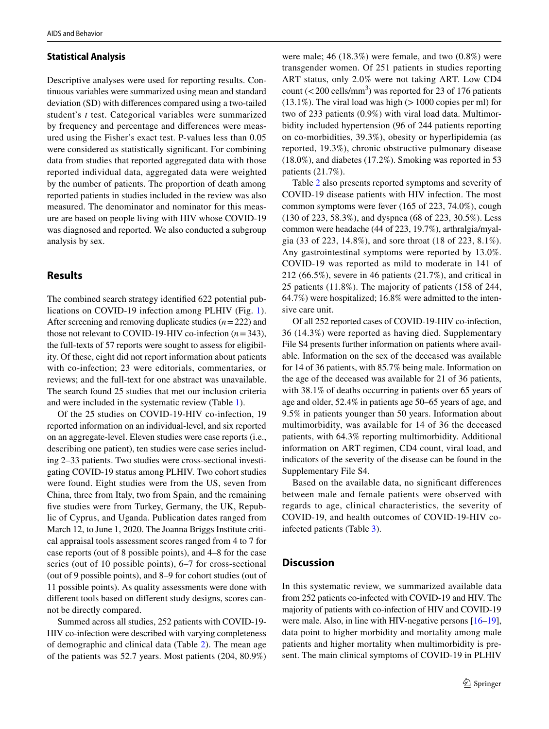#### **Statistical Analysis**

Descriptive analyses were used for reporting results. Continuous variables were summarized using mean and standard deviation (SD) with diferences compared using a two-tailed student's *t* test. Categorical variables were summarized by frequency and percentage and diferences were measured using the Fisher's exact test. P-values less than 0.05 were considered as statistically signifcant. For combining data from studies that reported aggregated data with those reported individual data, aggregated data were weighted by the number of patients. The proportion of death among reported patients in studies included in the review was also measured. The denominator and nominator for this measure are based on people living with HIV whose COVID-19 was diagnosed and reported. We also conducted a subgroup analysis by sex.

### **Results**

The combined search strategy identifed 622 potential publications on COVID-19 infection among PLHIV (Fig. [1](#page-3-0)). After screening and removing duplicate studies (*n*=222) and those not relevant to COVID-19-HIV co-infection  $(n=343)$ , the full-texts of 57 reports were sought to assess for eligibility. Of these, eight did not report information about patients with co-infection; 23 were editorials, commentaries, or reviews; and the full-text for one abstract was unavailable. The search found 25 studies that met our inclusion criteria and were included in the systematic review (Table [1](#page-4-0)).

Of the 25 studies on COVID-19-HIV co-infection, 19 reported information on an individual-level, and six reported on an aggregate-level. Eleven studies were case reports (i.e., describing one patient), ten studies were case series including 2–33 patients. Two studies were cross-sectional investigating COVID-19 status among PLHIV. Two cohort studies were found. Eight studies were from the US, seven from China, three from Italy, two from Spain, and the remaining five studies were from Turkey, Germany, the UK, Republic of Cyprus, and Uganda. Publication dates ranged from March 12, to June 1, 2020. The Joanna Briggs Institute critical appraisal tools assessment scores ranged from 4 to 7 for case reports (out of 8 possible points), and 4–8 for the case series (out of 10 possible points), 6–7 for cross-sectional (out of 9 possible points), and 8–9 for cohort studies (out of 11 possible points). As quality assessments were done with diferent tools based on diferent study designs, scores cannot be directly compared.

Summed across all studies, 252 patients with COVID-19- HIV co-infection were described with varying completeness of demographic and clinical data (Table [2\)](#page-5-0). The mean age of the patients was 52.7 years. Most patients (204, 80.9%) were male; 46 (18.3%) were female, and two (0.8%) were transgender women. Of 251 patients in studies reporting ART status, only 2.0% were not taking ART. Low CD4 count ( $\langle$  200 cells/mm<sup>3</sup>) was reported for 23 of 176 patients  $(13.1\%)$ . The viral load was high ( $>1000$  copies per ml) for two of 233 patients (0.9%) with viral load data. Multimorbidity included hypertension (96 of 244 patients reporting on co-morbidities, 39.3%), obesity or hyperlipidemia (as reported, 19.3%), chronic obstructive pulmonary disease (18.0%), and diabetes (17.2%). Smoking was reported in 53 patients (21.7%).

Table [2](#page-5-0) also presents reported symptoms and severity of COVID-19 disease patients with HIV infection. The most common symptoms were fever (165 of 223, 74.0%), cough (130 of 223, 58.3%), and dyspnea (68 of 223, 30.5%). Less common were headache (44 of 223, 19.7%), arthralgia/myalgia (33 of 223, 14.8%), and sore throat (18 of 223, 8.1%). Any gastrointestinal symptoms were reported by 13.0%. COVID-19 was reported as mild to moderate in 141 of 212 (66.5%), severe in 46 patients (21.7%), and critical in 25 patients (11.8%). The majority of patients (158 of 244, 64.7%) were hospitalized; 16.8% were admitted to the intensive care unit.

Of all 252 reported cases of COVID-19-HIV co-infection, 36 (14.3%) were reported as having died. Supplementary File S4 presents further information on patients where available. Information on the sex of the deceased was available for 14 of 36 patients, with 85.7% being male. Information on the age of the deceased was available for 21 of 36 patients, with 38.1% of deaths occurring in patients over 65 years of age and older, 52.4% in patients age 50–65 years of age, and 9.5% in patients younger than 50 years. Information about multimorbidity, was available for 14 of 36 the deceased patients, with 64.3% reporting multimorbidity. Additional information on ART regimen, CD4 count, viral load, and indicators of the severity of the disease can be found in the Supplementary File S4.

Based on the available data, no signifcant diferences between male and female patients were observed with regards to age, clinical characteristics, the severity of COVID-19, and health outcomes of COVID-19-HIV coinfected patients (Table [3](#page-5-1)).

#### **Discussion**

In this systematic review, we summarized available data from 252 patients co-infected with COVID-19 and HIV. The majority of patients with co-infection of HIV and COVID-19 were male. Also, in line with HIV-negative persons [[16–](#page-6-15)[19](#page-6-16)], data point to higher morbidity and mortality among male patients and higher mortality when multimorbidity is present. The main clinical symptoms of COVID-19 in PLHIV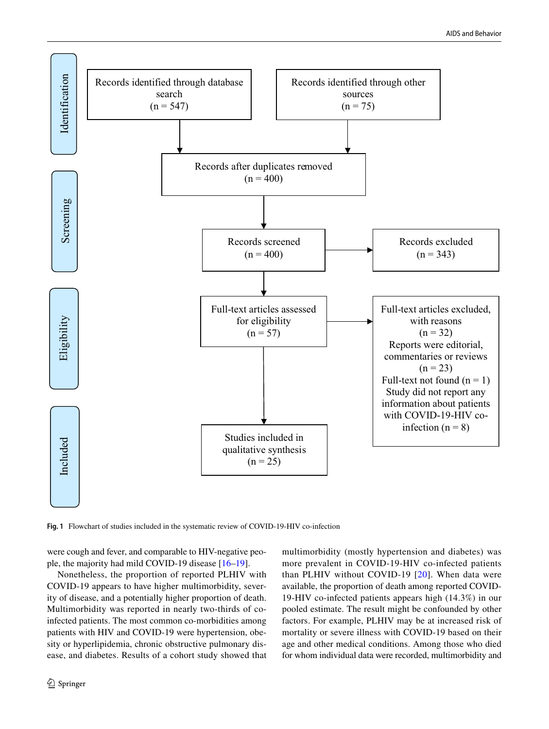

<span id="page-3-0"></span>**Fig. 1** Flowchart of studies included in the systematic review of COVID-19-HIV co-infection

were cough and fever, and comparable to HIV-negative people, the majority had mild COVID-19 disease [[16–](#page-6-15)[19\]](#page-6-16).

Nonetheless, the proportion of reported PLHIV with COVID-19 appears to have higher multimorbidity, severity of disease, and a potentially higher proportion of death. Multimorbidity was reported in nearly two-thirds of coinfected patients. The most common co-morbidities among patients with HIV and COVID-19 were hypertension, obesity or hyperlipidemia, chronic obstructive pulmonary disease, and diabetes. Results of a cohort study showed that multimorbidity (mostly hypertension and diabetes) was more prevalent in COVID-19-HIV co-infected patients than PLHIV without COVID-19 [[20\]](#page-6-17). When data were available, the proportion of death among reported COVID-19-HIV co-infected patients appears high (14.3%) in our pooled estimate. The result might be confounded by other factors. For example, PLHIV may be at increased risk of mortality or severe illness with COVID-19 based on their age and other medical conditions. Among those who died for whom individual data were recorded, multimorbidity and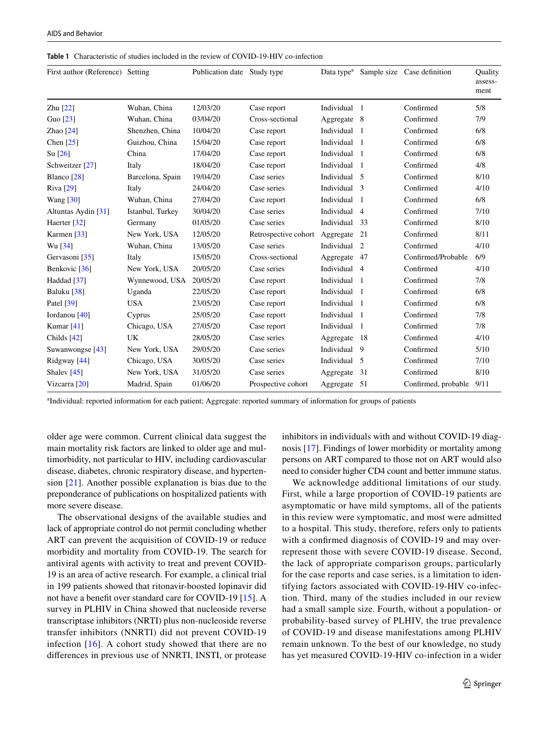| First author (Reference) Setting |                  | Publication date Study type |                      | Data type <sup>a</sup> |                | Sample size Case definition | <b>Ouality</b><br>assess-<br>ment |
|----------------------------------|------------------|-----------------------------|----------------------|------------------------|----------------|-----------------------------|-----------------------------------|
| Zhu $[22]$                       | Wuhan, China     | 12/03/20                    | Case report          | Individual             | $\overline{1}$ | Confirmed                   | 5/8                               |
| Guo [23]                         | Wuhan, China     | 03/04/20                    | Cross-sectional      | Aggregate 8            |                | Confirmed                   | 7/9                               |
| Zhao $[24]$                      | Shenzhen, China  | 10/04/20                    | Case report          | Individual             | $\overline{1}$ | Confirmed                   | 6/8                               |
| Chen $[25]$                      | Guizhou, China   | 15/04/20                    | Case report          | Individual             | $\overline{1}$ | Confirmed                   | 6/8                               |
| $\text{Su}$ [26]                 | China            | 17/04/20                    | Case report          | Individual             | $\overline{1}$ | Confirmed                   | 6/8                               |
| Schweitzer [27]                  | Italy            | 18/04/20                    | Case report          | Individual             | $\overline{1}$ | Confirmed                   | 4/8                               |
| Blanco $[28]$                    | Barcelona, Spain | 19/04/20                    | Case series          | Individual 5           |                | Confirmed                   | 8/10                              |
| Riva [29]                        | Italy            | 24/04/20                    | Case series          | Individual 3           |                | Confirmed                   | 4/10                              |
| Wang $\lceil 30 \rceil$          | Wuhan, China     | 27/04/20                    | Case report          | Individual             | $\overline{1}$ | Confirmed                   | 6/8                               |
| Altuntas Aydin [31]              | Istanbul, Turkey | 30/04/20                    | Case series          | Individual             | $\overline{4}$ | Confirmed                   | 7/10                              |
| Haerter <sup>[32]</sup>          | Germany          | 01/05/20                    | Case series          | Individual             | - 33           | Confirmed                   | 8/10                              |
| Karmen $[33]$                    | New York, USA    | 12/05/20                    | Retrospective cohort | Aggregate              | 21             | Confirmed                   | 8/11                              |
| Wu [34]                          | Wuhan, China     | 13/05/20                    | Case series          | Individual             | 2              | Confirmed                   | 4/10                              |
| Gervasoni [35]                   | Italy            | 15/05/20                    | Cross-sectional      | Aggregate              | - 47           | Confirmed/Probable          | 6/9                               |
| Benkovic [36]                    | New York, USA    | 20/05/20                    | Case series          | Individual 4           |                | Confirmed                   | 4/10                              |
| Haddad [37]                      | Wynnewood, USA   | 20/05/20                    | Case report          | Individual             | $\overline{1}$ | Confirmed                   | 7/8                               |
| Baluku [38]                      | Uganda           | 22/05/20                    | Case report          | Individual             | $\overline{1}$ | Confirmed                   | 6/8                               |
| Patel [39]                       | <b>USA</b>       | 23/05/20                    | Case report          | Individual             | - 1            | Confirmed                   | 6/8                               |
| Iordanou [40]                    | Cyprus           | 25/05/20                    | Case report          | Individual             | $\blacksquare$ | Confirmed                   | 7/8                               |
| Kumar $[41]$                     | Chicago, USA     | 27/05/20                    | Case report          | Individual             | $\overline{1}$ | Confirmed                   | 7/8                               |
| Childs $[42]$                    | <b>UK</b>        | 28/05/20                    | Case series          | Aggregate              | -18            | Confirmed                   | 4/10                              |
| Suwanwongse [43]                 | New York, USA    | 29/05/20                    | Case series          | Individual 9           |                | Confirmed                   | 5/10                              |
| Ridgway [44]                     | Chicago, USA     | 30/05/20                    | Case series          | Individual             | - 5            | Confirmed                   | 7/10                              |
| Shalev <sup>[45]</sup>           | New York, USA    | 31/05/20                    | Case series          | Aggregate              | 31             | Confirmed                   | 8/10                              |
| Vizcarra [20]                    | Madrid, Spain    | 01/06/20                    | Prospective cohort   | Aggregate 51           |                | Confirmed, probable         | 9/11                              |

<span id="page-4-0"></span>**Table 1** Characteristic of studies included in the review of COVID-19-HIV co-infection

a Individual: reported information for each patient; Aggregate: reported summary of information for groups of patients

older age were common. Current clinical data suggest the main mortality risk factors are linked to older age and multimorbidity, not particular to HIV, including cardiovascular disease, diabetes, chronic respiratory disease, and hypertension [[21\]](#page-6-18). Another possible explanation is bias due to the preponderance of publications on hospitalized patients with more severe disease.

The observational designs of the available studies and lack of appropriate control do not permit concluding whether ART can prevent the acquisition of COVID-19 or reduce morbidity and mortality from COVID-19. The search for antiviral agents with activity to treat and prevent COVID-19 is an area of active research. For example, a clinical trial in 199 patients showed that ritonavir-boosted lopinavir did not have a beneft over standard care for COVID-19 [[15\]](#page-6-14). A survey in PLHIV in China showed that nucleoside reverse transcriptase inhibitors (NRTI) plus non-nucleoside reverse transfer inhibitors (NNRTI) did not prevent COVID-19 infection  $[16]$ . A cohort study showed that there are no diferences in previous use of NNRTI, INSTI, or protease inhibitors in individuals with and without COVID-19 diagnosis [[17\]](#page-6-19). Findings of lower morbidity or mortality among persons on ART compared to those not on ART would also need to consider higher CD4 count and better immune status.

We acknowledge additional limitations of our study. First, while a large proportion of COVID-19 patients are asymptomatic or have mild symptoms, all of the patients in this review were symptomatic, and most were admitted to a hospital. This study, therefore, refers only to patients with a confrmed diagnosis of COVID-19 and may overrepresent those with severe COVID-19 disease. Second, the lack of appropriate comparison groups, particularly for the case reports and case series, is a limitation to identifying factors associated with COVID-19-HIV co-infection. Third, many of the studies included in our review had a small sample size. Fourth, without a population- or probability-based survey of PLHIV, the true prevalence of COVID-19 and disease manifestations among PLHIV remain unknown. To the best of our knowledge, no study has yet measured COVID-19-HIV co-infection in a wider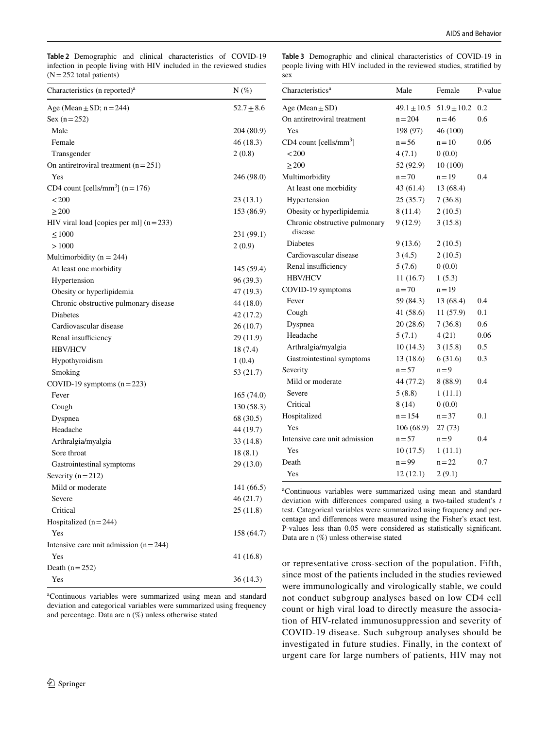<span id="page-5-0"></span>**Table 2** Demographic and clinical characteristics of COVID-19 infection in people living with HIV included in the reviewed studies  $(N=252$  total patients)

<span id="page-5-1"></span>**Table 3** Demographic and clinical characteristics of COVID-19 in people living with HIV included in the reviewed studies, stratifed by sex

| Characteristics (n reported) <sup>a</sup>    | $N(\%)$        |
|----------------------------------------------|----------------|
| Age (Mean $\pm$ SD; n = 244)                 | $52.7 \pm 8.6$ |
| Sex $(n = 252)$                              |                |
| Male                                         | 204 (80.9)     |
| Female                                       | 46 (18.3)      |
| Transgender                                  | 2(0.8)         |
| On antiretroviral treatment $(n=251)$        |                |
| Yes                                          | 246 (98.0)     |
| CD4 count [cells/mm <sup>3</sup> ] $(n=176)$ |                |
| < 200                                        | 23(13.1)       |
| >200                                         | 153 (86.9)     |
| HIV viral load [copies per ml] $(n=233)$     |                |
| $\leq 1000$                                  | 231 (99.1)     |
| >1000                                        | 2(0.9)         |
| Multimorbidity ( $n = 244$ )                 |                |
| At least one morbidity                       | 145 (59.4)     |
| Hypertension                                 | 96 (39.3)      |
| Obesity or hyperlipidemia                    | 47 (19.3)      |
| Chronic obstructive pulmonary disease        | 44 (18.0)      |
| <b>Diabetes</b>                              | 42 (17.2)      |
| Cardiovascular disease                       | 26 (10.7)      |
| Renal insufficiency                          | 29 (11.9)      |
| <b>HBV/HCV</b>                               | 18(7.4)        |
| Hypothyroidism                               | 1(0.4)         |
| Smoking                                      | 53 (21.7)      |
| COVID-19 symptoms $(n=223)$                  |                |
| Fever                                        | 165 (74.0)     |
| Cough                                        | 130(58.3)      |
| Dyspnea                                      | 68 (30.5)      |
| Headache                                     | 44 (19.7)      |
| Arthralgia/myalgia                           | 33 (14.8)      |
| Sore throat                                  | 18(8.1)        |
| Gastrointestinal symptoms                    | 29 (13.0)      |
| Severity $(n=212)$                           |                |
| Mild or moderate                             | 141 (66.5)     |
| Severe                                       | 46 (21.7)      |
| Critical                                     | 25 (11.8)      |
| Hospitalized $(n=244)$                       |                |
| Yes                                          | 158 (64.7)     |
| Intensive care unit admission $(n=244)$      |                |
| Yes                                          | 41 (16.8)      |
| Death $(n=252)$                              |                |
| Yes                                          | 36 (14.3)      |
|                                              |                |

a Continuous variables were summarized using mean and standard deviation and categorical variables were summarized using frequency and percentage. Data are n (%) unless otherwise stated

| Characteristics <sup>a</sup>             | Male            | Female          | P-value |
|------------------------------------------|-----------------|-----------------|---------|
| Age (Mean $\pm$ SD)                      | $49.1 \pm 10.5$ | $51.9 \pm 10.2$ | 0.2     |
| On antiretroviral treatment              | $n = 204$       | $n = 46$        | 0.6     |
| Yes                                      | 198 (97)        | 46 (100)        |         |
| $CD4$ count [cells/mm <sup>3</sup> ]     | $n = 56$        | $n = 10$        | 0.06    |
| < 200                                    | 4(7.1)          | 0(0.0)          |         |
| $\geq$ 200                               | 52 (92.9)       | 10(100)         |         |
| Multimorbidity                           | $n = 70$        | $n = 19$        | 0.4     |
| At least one morbidity                   | 43 (61.4)       | 13 (68.4)       |         |
| Hypertension                             | 25(35.7)        | 7(36.8)         |         |
| Obesity or hyperlipidemia                | 8(11.4)         | 2(10.5)         |         |
| Chronic obstructive pulmonary<br>disease | 9(12.9)         | 3(15.8)         |         |
| Diabetes                                 | 9(13.6)         | 2(10.5)         |         |
| Cardiovascular disease                   | 3(4.5)          | 2(10.5)         |         |
| Renal insufficiency                      | 5(7.6)          | 0(0.0)          |         |
| <b>HBV/HCV</b>                           | 11(16.7)        | 1(5.3)          |         |
| COVID-19 symptoms                        | $n = 70$        | $n = 19$        |         |
| Fever                                    | 59 (84.3)       | 13 (68.4)       | 0.4     |
| Cough                                    | 41(58.6)        | 11 (57.9)       | 0.1     |
| Dyspnea                                  | 20(28.6)        | 7(36.8)         | 0.6     |
| Headache                                 | 5(7.1)          | 4(21)           | 0.06    |
| Arthralgia/myalgia                       | 10(14.3)        | 3(15.8)         | 0.5     |
| Gastrointestinal symptoms                | 13(18.6)        | 6(31.6)         | 0.3     |
| Severity                                 | $n = 57$        | $n = 9$         |         |
| Mild or moderate                         | 44 (77.2)       | 8(88.9)         | 0.4     |
| Severe                                   | 5(8.8)          | 1(11.1)         |         |
| Critical                                 | 8(14)           | 0(0.0)          |         |
| Hospitalized                             | $n = 154$       | $n = 37$        | 0.1     |
| Yes                                      | 106(68.9)       | 27(73)          |         |
| Intensive care unit admission            | $n = 57$        | $n = 9$         | 0.4     |
| Yes                                      | 10(17.5)        | 1(11.1)         |         |
| Death                                    | $n = 99$        | $n = 22$        | 0.7     |
| Yes                                      | 12(12.1)        | 2(9.1)          |         |

a Continuous variables were summarized using mean and standard deviation with diferences compared using a two-tailed student's *t* test. Categorical variables were summarized using frequency and percentage and diferences were measured using the Fisher's exact test. P-values less than 0.05 were considered as statistically signifcant. Data are n (%) unless otherwise stated

or representative cross-section of the population. Fifth, since most of the patients included in the studies reviewed were immunologically and virologically stable, we could not conduct subgroup analyses based on low CD4 cell count or high viral load to directly measure the association of HIV-related immunosuppression and severity of COVID-19 disease. Such subgroup analyses should be investigated in future studies. Finally, in the context of urgent care for large numbers of patients, HIV may not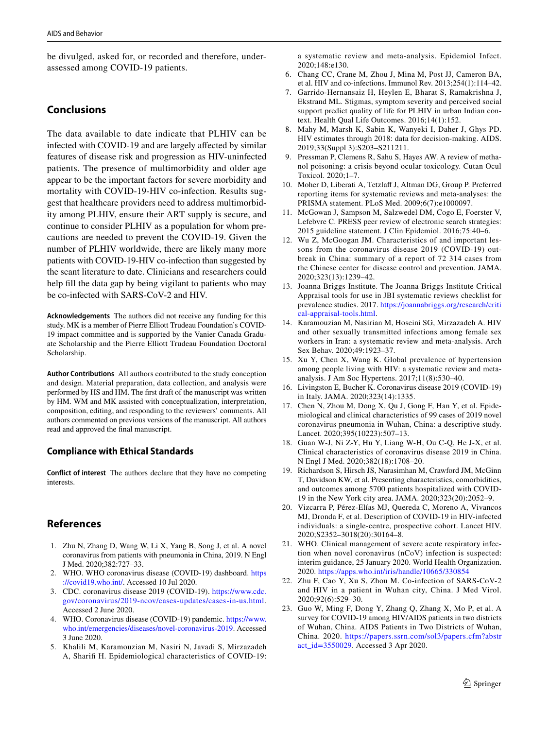be divulged, asked for, or recorded and therefore, underassessed among COVID-19 patients.

## **Conclusions**

The data available to date indicate that PLHIV can be infected with COVID-19 and are largely afected by similar features of disease risk and progression as HIV-uninfected patients. The presence of multimorbidity and older age appear to be the important factors for severe morbidity and mortality with COVID-19-HIV co-infection. Results suggest that healthcare providers need to address multimorbidity among PLHIV, ensure their ART supply is secure, and continue to consider PLHIV as a population for whom precautions are needed to prevent the COVID-19. Given the number of PLHIV worldwide, there are likely many more patients with COVID-19-HIV co-infection than suggested by the scant literature to date. Clinicians and researchers could help fill the data gap by being vigilant to patients who may be co-infected with SARS-CoV-2 and HIV.

**Acknowledgements** The authors did not receive any funding for this study. MK is a member of Pierre Elliott Trudeau Foundation's COVID-19 impact committee and is supported by the Vanier Canada Graduate Scholarship and the Pierre Elliott Trudeau Foundation Doctoral Scholarship.

**Author Contributions** All authors contributed to the study conception and design. Material preparation, data collection, and analysis were performed by HS and HM. The frst draft of the manuscript was written by HM. WM and MK assisted with conceptualization, interpretation, composition, editing, and responding to the reviewers' comments. All authors commented on previous versions of the manuscript. All authors read and approved the fnal manuscript.

### **Compliance with Ethical Standards**

**Conflict of interest** The authors declare that they have no competing interests.

# **References**

- <span id="page-6-0"></span>1. Zhu N, Zhang D, Wang W, Li X, Yang B, Song J, et al. A novel coronavirus from patients with pneumonia in China, 2019. N Engl J Med. 2020;382:727–33.
- <span id="page-6-1"></span>2. WHO. WHO coronavirus disease (COVID-19) dashboard. [https](https://covid19.who.int/) [://covid19.who.int/](https://covid19.who.int/). Accessed 10 Jul 2020.
- <span id="page-6-2"></span>3. CDC. coronavirus disease 2019 (COVID-19). [https://www.cdc.](https://www.cdc.gov/coronavirus/2019-ncov/cases-updates/cases-in-us.html) [gov/coronavirus/2019-ncov/cases-updates/cases-in-us.html.](https://www.cdc.gov/coronavirus/2019-ncov/cases-updates/cases-in-us.html) Accessed 2 June 2020.
- <span id="page-6-3"></span>4. WHO. Coronavirus disease (COVID-19) pandemic. [https://www.](https://www.who.int/emergencies/diseases/novel-coronavirus-2019) [who.int/emergencies/diseases/novel-coronavirus-2019.](https://www.who.int/emergencies/diseases/novel-coronavirus-2019) Accessed 3 June 2020.
- <span id="page-6-4"></span>5. Khalili M, Karamouzian M, Nasiri N, Javadi S, Mirzazadeh A, Sharif H. Epidemiological characteristics of COVID-19:

a systematic review and meta-analysis. Epidemiol Infect. 2020;148:e130.

- <span id="page-6-5"></span>6. Chang CC, Crane M, Zhou J, Mina M, Post JJ, Cameron BA, et al. HIV and co-infections. Immunol Rev. 2013;254(1):114–42.
- <span id="page-6-6"></span>7. Garrido-Hernansaiz H, Heylen E, Bharat S, Ramakrishna J, Ekstrand ML. Stigmas, symptom severity and perceived social support predict quality of life for PLHIV in urban Indian context. Health Qual Life Outcomes. 2016;14(1):152.
- <span id="page-6-7"></span>8. Mahy M, Marsh K, Sabin K, Wanyeki I, Daher J, Ghys PD. HIV estimates through 2018: data for decision-making. AIDS. 2019;33(Suppl 3):S203–S211211.
- <span id="page-6-8"></span>9. Pressman P, Clemens R, Sahu S, Hayes AW. A review of methanol poisoning: a crisis beyond ocular toxicology. Cutan Ocul Toxicol. 2020;1–7.
- <span id="page-6-9"></span>10. Moher D, Liberati A, Tetzlaff J, Altman DG, Group P. Preferred reporting items for systematic reviews and meta-analyses: the PRISMA statement. PLoS Med. 2009;6(7):e1000097.
- <span id="page-6-10"></span>11. McGowan J, Sampson M, Salzwedel DM, Cogo E, Foerster V, Lefebvre C. PRESS peer review of electronic search strategies: 2015 guideline statement. J Clin Epidemiol. 2016;75:40–6.
- <span id="page-6-11"></span>12. Wu Z, McGoogan JM. Characteristics of and important lessons from the coronavirus disease 2019 (COVID-19) outbreak in China: summary of a report of 72 314 cases from the Chinese center for disease control and prevention. JAMA. 2020;323(13):1239–42.
- <span id="page-6-12"></span>13. Joanna Briggs Institute. The Joanna Briggs Institute Critical Appraisal tools for use in JBI systematic reviews checklist for prevalence studies. 2017. [https://joannabriggs.org/research/criti](http://joannabriggs.org/research/critical-appraisal-tools.html) [cal-appraisal-tools.html](http://joannabriggs.org/research/critical-appraisal-tools.html).
- <span id="page-6-13"></span>14. Karamouzian M, Nasirian M, Hoseini SG, Mirzazadeh A. HIV and other sexually transmitted infections among female sex workers in Iran: a systematic review and meta-analysis. Arch Sex Behav. 2020;49:1923–37.
- <span id="page-6-14"></span>15. Xu Y, Chen X, Wang K. Global prevalence of hypertension among people living with HIV: a systematic review and metaanalysis. J Am Soc Hypertens. 2017;11(8):530–40.
- <span id="page-6-15"></span>16. Livingston E, Bucher K. Coronavirus disease 2019 (COVID-19) in Italy. JAMA. 2020;323(14):1335.
- <span id="page-6-19"></span>17. Chen N, Zhou M, Dong X, Qu J, Gong F, Han Y, et al. Epidemiological and clinical characteristics of 99 cases of 2019 novel coronavirus pneumonia in Wuhan, China: a descriptive study. Lancet. 2020;395(10223):507–13.
- 18. Guan W-J, Ni Z-Y, Hu Y, Liang W-H, Ou C-Q, He J-X, et al. Clinical characteristics of coronavirus disease 2019 in China. N Engl J Med. 2020;382(18):1708–20.
- <span id="page-6-16"></span>19. Richardson S, Hirsch JS, Narasimhan M, Crawford JM, McGinn T, Davidson KW, et al. Presenting characteristics, comorbidities, and outcomes among 5700 patients hospitalized with COVID-19 in the New York city area. JAMA. 2020;323(20):2052–9.
- <span id="page-6-17"></span>20. Vizcarra P, Pérez-Elías MJ, Quereda C, Moreno A, Vivancos MJ, Dronda F, et al. Description of COVID-19 in HIV-infected individuals: a single-centre, prospective cohort. Lancet HIV. 2020;S2352–3018(20):30164–8.
- <span id="page-6-18"></span>21. WHO. Clinical management of severe acute respiratory infection when novel coronavirus (nCoV) infection is suspected: interim guidance, 25 January 2020. World Health Organization. 2020.<https://apps.who.int/iris/handle/10665/330854>
- <span id="page-6-20"></span>22. Zhu F, Cao Y, Xu S, Zhou M. Co-infection of SARS-CoV-2 and HIV in a patient in Wuhan city, China. J Med Virol. 2020;92(6):529–30.
- <span id="page-6-21"></span>23. Guo W, Ming F, Dong Y, Zhang Q, Zhang X, Mo P, et al. A survey for COVID-19 among HIV/AIDS patients in two districts of Wuhan, China. AIDS Patients in Two Districts of Wuhan, China. 2020. [https://papers.ssrn.com/sol3/papers.cfm?abstr](https://papers.ssrn.com/sol3/papers.cfm?abstract_id=3550029) [act\\_id=3550029.](https://papers.ssrn.com/sol3/papers.cfm?abstract_id=3550029) Accessed 3 Apr 2020.